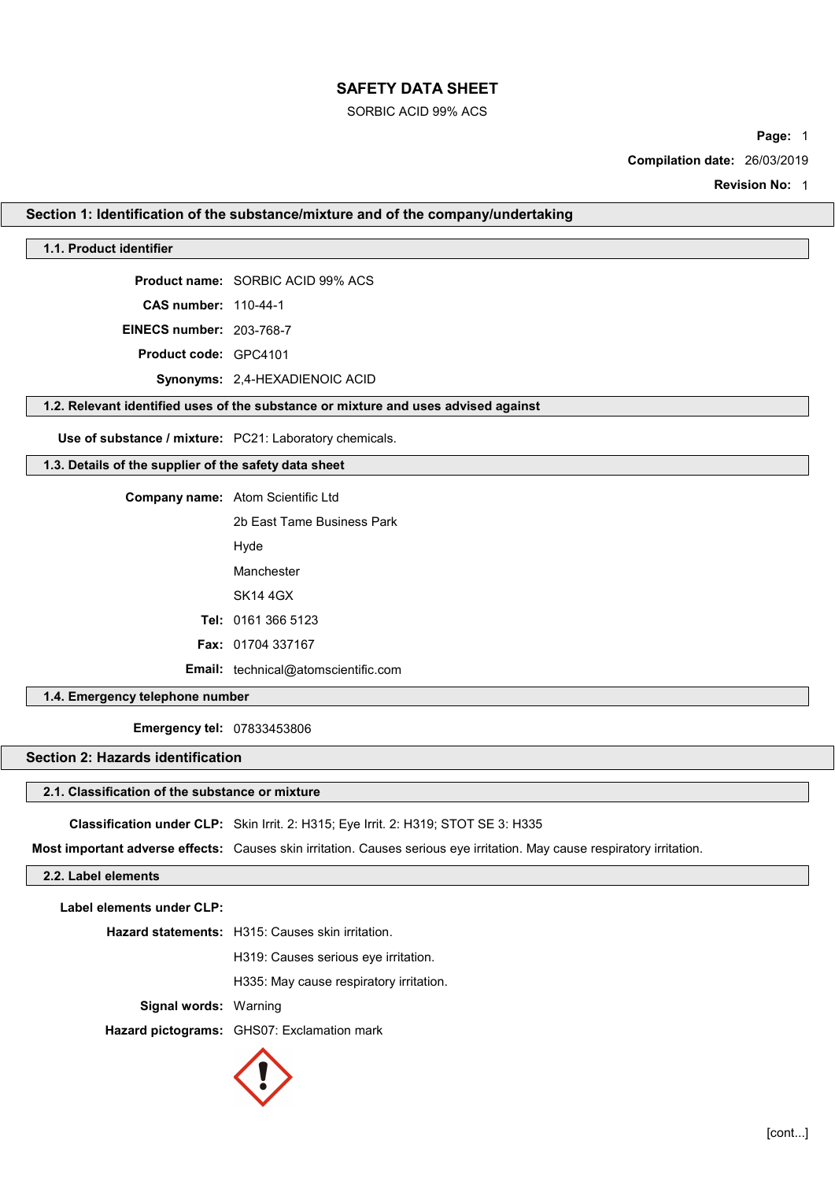### SORBIC ACID 99% ACS

Page: 1

Compilation date: 26/03/2019

Revision No: 1

### Section 1: Identification of the substance/mixture and of the company/undertaking

### 1.1. Product identifier

Product name: SORBIC ACID 99% ACS

CAS number: 110-44-1

EINECS number: 203-768-7

Product code: GPC4101

Synonyms: 2,4-HEXADIENOIC ACID

## 1.2. Relevant identified uses of the substance or mixture and uses advised against

Use of substance / mixture: PC21: Laboratory chemicals.

### 1.3. Details of the supplier of the safety data sheet

Company name: Atom Scientific Ltd

2b East Tame Business Park Hyde

Manchester

SK14 4GX

Tel: 0161 366 5123

Fax: 01704 337167

Email: technical@atomscientific.com

### 1.4. Emergency telephone number

Emergency tel: 07833453806

### Section 2: Hazards identification

### 2.1. Classification of the substance or mixture

Classification under CLP: Skin Irrit. 2: H315; Eye Irrit. 2: H319; STOT SE 3: H335

Most important adverse effects: Causes skin irritation. Causes serious eye irritation. May cause respiratory irritation.

### 2.2. Label elements

Label elements under CLP:

Hazard statements: H315: Causes skin irritation.

H319: Causes serious eye irritation.

H335: May cause respiratory irritation.

Signal words: Warning

Hazard pictograms: GHS07: Exclamation mark

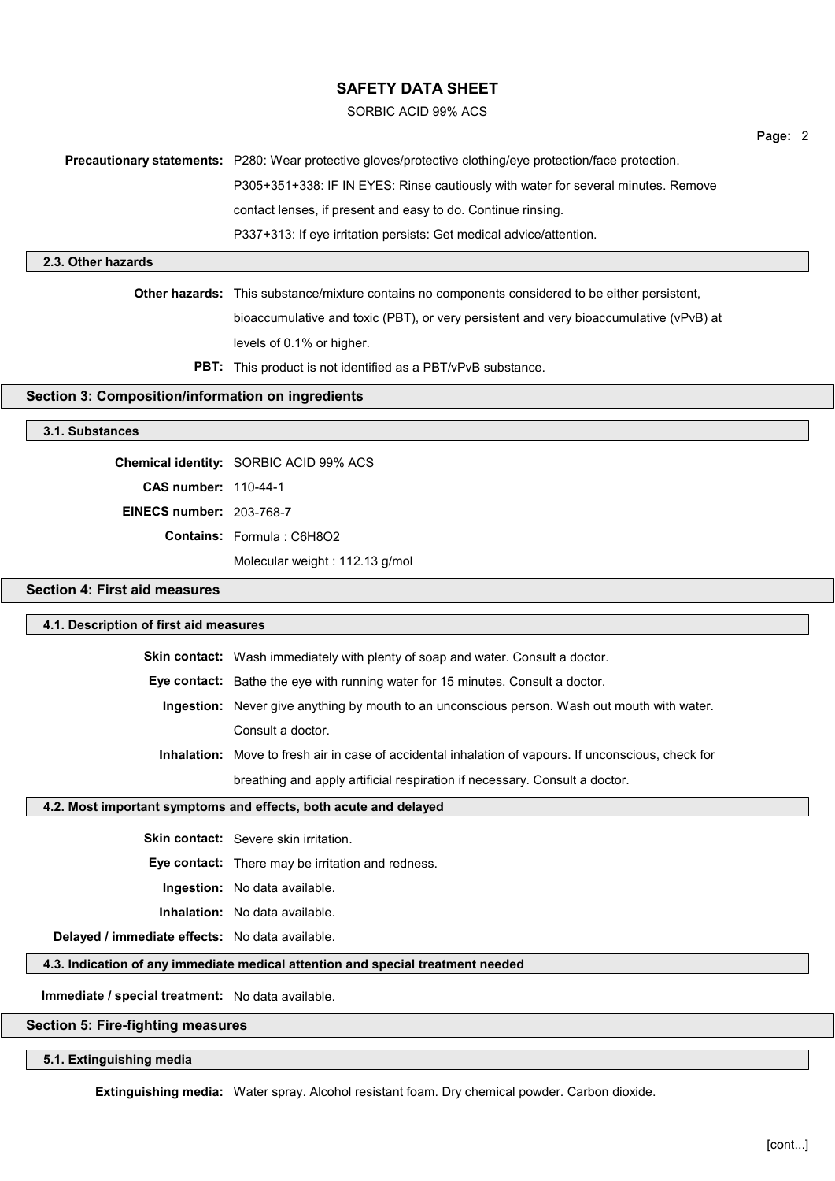### SORBIC ACID 99% ACS

| <b>Precautionary statements:</b> P280: Wear protective gloves/protective clothing/eye protection/face protection. |
|-------------------------------------------------------------------------------------------------------------------|
| P305+351+338: IF IN EYES: Rinse cautiously with water for several minutes. Remove                                 |
| contact lenses, if present and easy to do. Continue rinsing.                                                      |
| P337+313: If eye irritation persists: Get medical advice/attention.                                               |

### 2.3. Other hazards

Other hazards: This substance/mixture contains no components considered to be either persistent, bioaccumulative and toxic (PBT), or very persistent and very bioaccumulative (vPvB) at levels of 0.1% or higher.

PBT: This product is not identified as a PBT/vPvB substance.

### Section 3: Composition/information on ingredients

### 3.1. Substances

Chemical identity: SORBIC ACID 99% ACS CAS number: 110-44-1 EINECS number: 203-768-7 Contains: Formula : C6H8O2 Molecular weight : 112.13 g/mol

### Section 4: First aid measures

| 4.1. Description of first aid measures                                          |                                                                                                             |  |
|---------------------------------------------------------------------------------|-------------------------------------------------------------------------------------------------------------|--|
|                                                                                 | Skin contact: Wash immediately with plenty of soap and water. Consult a doctor.                             |  |
|                                                                                 | Eye contact: Bathe the eye with running water for 15 minutes. Consult a doctor.                             |  |
|                                                                                 | Ingestion: Never give anything by mouth to an unconscious person. Wash out mouth with water.                |  |
|                                                                                 | Consult a doctor.                                                                                           |  |
|                                                                                 | <b>Inhalation:</b> Move to fresh air in case of accidental inhalation of vapours. If unconscious, check for |  |
|                                                                                 | breathing and apply artificial respiration if necessary. Consult a doctor.                                  |  |
| 4.2. Most important symptoms and effects, both acute and delayed                |                                                                                                             |  |
|                                                                                 | <b>Skin contact:</b> Severe skin irritation.                                                                |  |
|                                                                                 | <b>Eye contact:</b> There may be irritation and redness.                                                    |  |
|                                                                                 | <b>Ingestion:</b> No data available.                                                                        |  |
|                                                                                 | Inhalation: No data available.                                                                              |  |
| Delayed / immediate effects: No data available.                                 |                                                                                                             |  |
| 4.3. Indication of any immediate medical attention and special treatment needed |                                                                                                             |  |
| Immediate / special treatment: No data available.                               |                                                                                                             |  |
| Section 5: Fire-fighting measures                                               |                                                                                                             |  |

#### ngnung

5.1. Extinguishing media

Extinguishing media: Water spray. Alcohol resistant foam. Dry chemical powder. Carbon dioxide.

Page: 2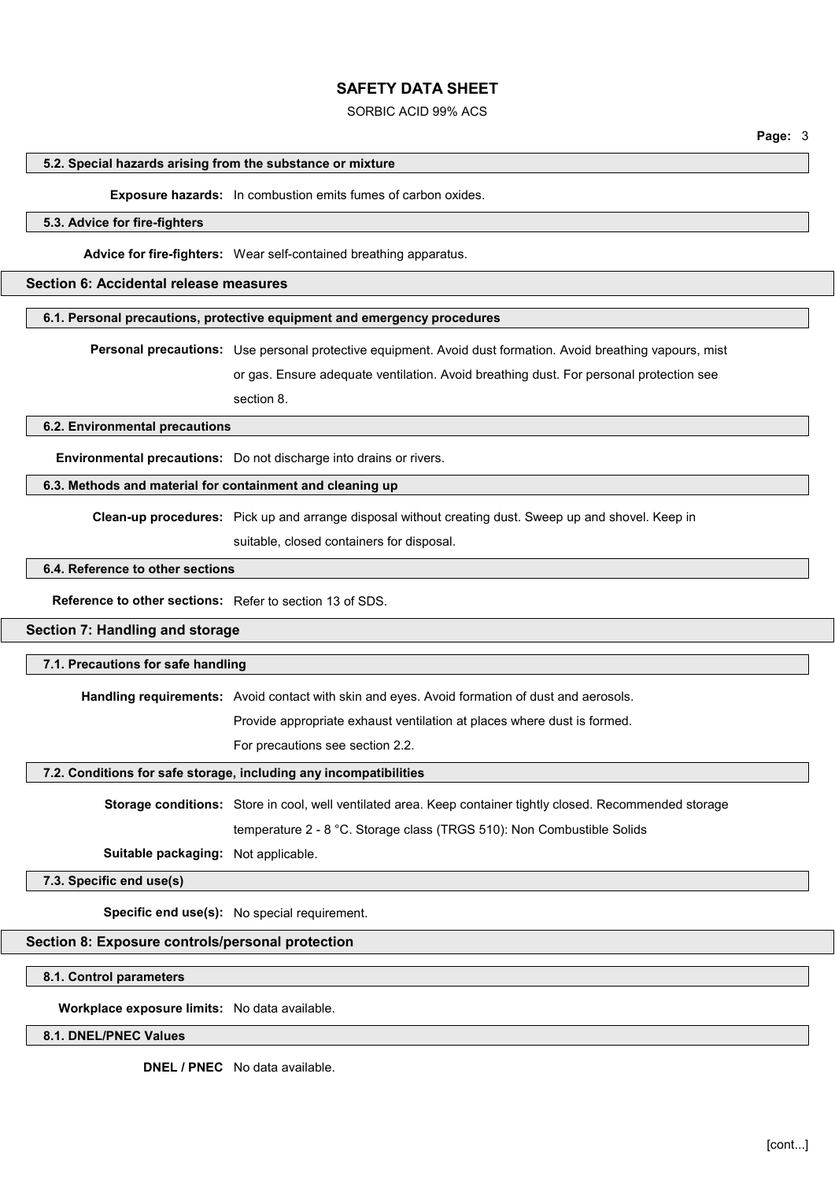#### SORBIC ACID 99% ACS

Page: 3

#### 5.2. Special hazards arising from the substance or mixture

#### Exposure hazards: In combustion emits fumes of carbon oxides.

### 5.3. Advice for fire-fighters

Advice for fire-fighters: Wear self-contained breathing apparatus.

### Section 6: Accidental release measures

#### 6.1. Personal precautions, protective equipment and emergency procedures

Personal precautions: Use personal protective equipment. Avoid dust formation. Avoid breathing vapours, mist

or gas. Ensure adequate ventilation. Avoid breathing dust. For personal protection see

section 8.

### 6.2. Environmental precautions

Environmental precautions: Do not discharge into drains or rivers.

### 6.3. Methods and material for containment and cleaning up

Clean-up procedures: Pick up and arrange disposal without creating dust. Sweep up and shovel. Keep in

suitable, closed containers for disposal.

### 6.4. Reference to other sections

Reference to other sections: Refer to section 13 of SDS.

### Section 7: Handling and storage

#### 7.1. Precautions for safe handling

Handling requirements: Avoid contact with skin and eyes. Avoid formation of dust and aerosols.

Provide appropriate exhaust ventilation at places where dust is formed.

For precautions see section 2.2.

### 7.2. Conditions for safe storage, including any incompatibilities

Storage conditions: Store in cool, well ventilated area. Keep container tightly closed. Recommended storage

temperature 2 - 8 °C. Storage class (TRGS 510): Non Combustible Solids

Suitable packaging: Not applicable.

7.3. Specific end use(s)

Specific end use(s): No special requirement.

### Section 8: Exposure controls/personal protection

### 8.1. Control parameters

Workplace exposure limits: No data available.

### 8.1. DNEL/PNEC Values

DNEL / PNEC No data available.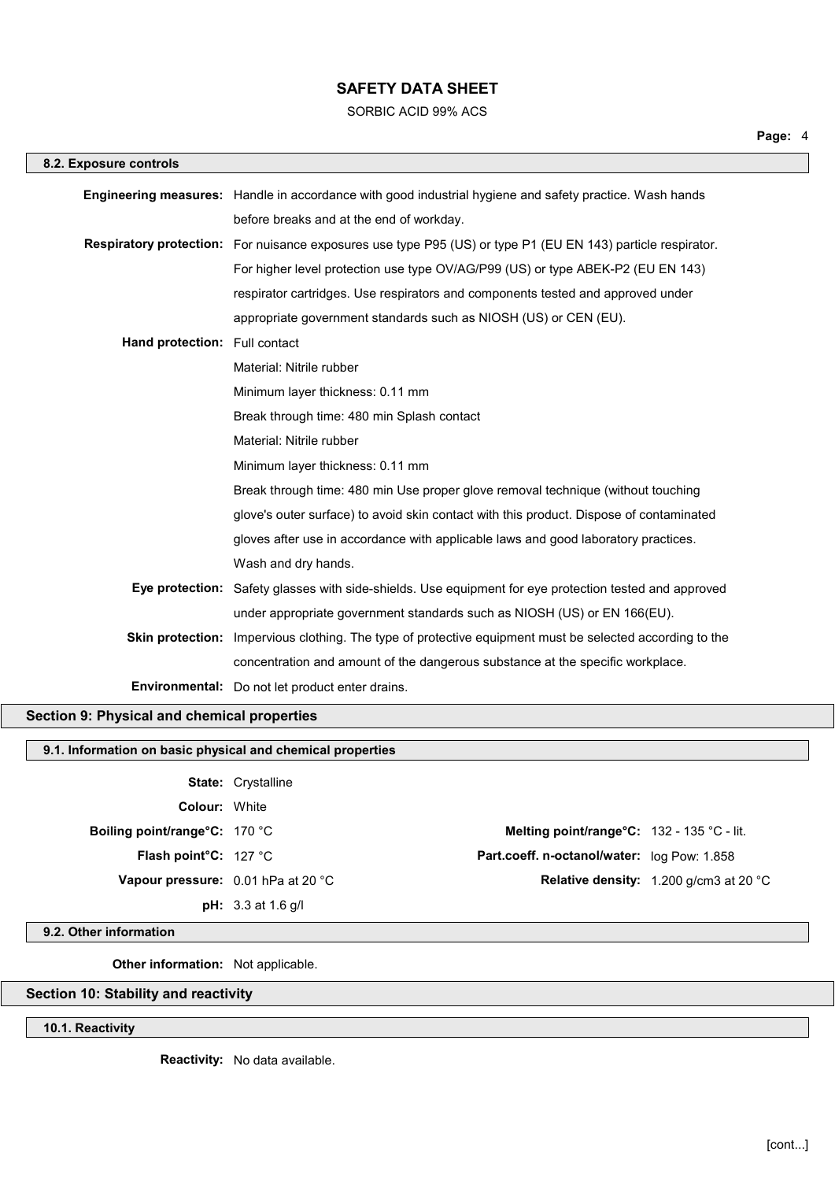SORBIC ACID 99% ACS

| 8.2. Exposure controls                    |                                                                                                                     |
|-------------------------------------------|---------------------------------------------------------------------------------------------------------------------|
|                                           | Engineering measures: Handle in accordance with good industrial hygiene and safety practice. Wash hands             |
|                                           | before breaks and at the end of workday.                                                                            |
|                                           | <b>Respiratory protection:</b> For nuisance exposures use type P95 (US) or type P1 (EU EN 143) particle respirator. |
|                                           | For higher level protection use type OV/AG/P99 (US) or type ABEK-P2 (EU EN 143)                                     |
|                                           | respirator cartridges. Use respirators and components tested and approved under                                     |
|                                           | appropriate government standards such as NIOSH (US) or CEN (EU).                                                    |
| Hand protection: Full contact             |                                                                                                                     |
|                                           | Material: Nitrile rubber                                                                                            |
|                                           | Minimum layer thickness: 0.11 mm                                                                                    |
|                                           | Break through time: 480 min Splash contact                                                                          |
|                                           | Material: Nitrile rubber                                                                                            |
|                                           | Minimum layer thickness: 0.11 mm                                                                                    |
|                                           | Break through time: 480 min Use proper glove removal technique (without touching                                    |
|                                           | glove's outer surface) to avoid skin contact with this product. Dispose of contaminated                             |
|                                           | gloves after use in accordance with applicable laws and good laboratory practices.                                  |
|                                           | Wash and dry hands.                                                                                                 |
|                                           | Eye protection: Safety glasses with side-shields. Use equipment for eye protection tested and approved              |
|                                           | under appropriate government standards such as NIOSH (US) or EN 166(EU).                                            |
|                                           | Skin protection: Impervious clothing. The type of protective equipment must be selected according to the            |
|                                           | concentration and amount of the dangerous substance at the specific workplace.                                      |
|                                           | Environmental: Do not let product enter drains.                                                                     |
| ction Q: Physical and chomical proporting |                                                                                                                     |

# Section 9: Physical and chemical properties

### 9.1. Information on basic physical and chemical properties

State: Crystalline Colour: White Boiling point/range°C: 170 °C and the matrix of the Melting point/range°C: 132 - 135 °C - lit.

pH: 3.3 at 1.6 g/l

Flash point°C: 127 °C **Part.coeff. n-octanol/water:** log Pow: 1.858 Vapour pressure: 0.01 hPa at 20 °C COMPONE Relative density: 1.200 g/cm3 at 20 °C

#### 9.2. Other information

**Other information:** Not applicable.

## Section 10: Stability and reactivity

10.1. Reactivity

Reactivity: No data available.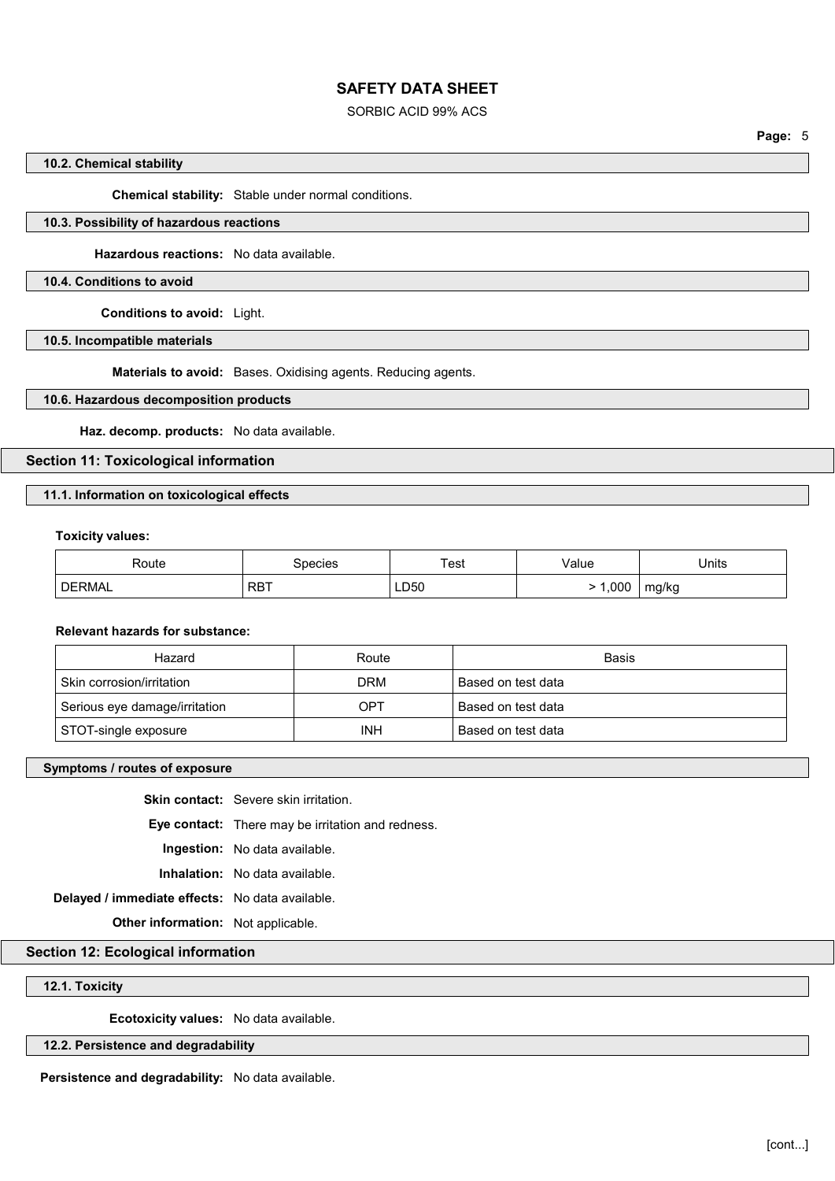### SORBIC ACID 99% ACS

Page: 5

### 10.2. Chemical stability

Chemical stability: Stable under normal conditions.

## 10.3. Possibility of hazardous reactions

Hazardous reactions: No data available.

### 10.4. Conditions to avoid

Conditions to avoid: Light.

10.5. Incompatible materials

Materials to avoid: Bases. Oxidising agents. Reducing agents.

### 10.6. Hazardous decomposition products

Haz. decomp. products: No data available.

Section 11: Toxicological information

### 11.1. Information on toxicological effects

#### Toxicity values:

| Route         | species    | Test | ∨alue | Units |
|---------------|------------|------|-------|-------|
| <b>DERMAL</b> | <b>RBT</b> | LD50 | .00C  | mg/kg |

#### Relevant hazards for substance:

| Hazard                        | Route      | Basis              |
|-------------------------------|------------|--------------------|
| Skin corrosion/irritation     | DRM        | Based on test data |
| Serious eye damage/irritation | OPT        | Based on test data |
| STOT-single exposure          | <b>INH</b> | Based on test data |

### Symptoms / routes of exposure

Skin contact: Severe skin irritation.

Eye contact: There may be irritation and redness.

Ingestion: No data available.

Inhalation: No data available.

Delayed / immediate effects: No data available.

Other information: Not applicable.

### Section 12: Ecological information

#### 12.1. Toxicity

Ecotoxicity values: No data available.

#### 12.2. Persistence and degradability

Persistence and degradability: No data available.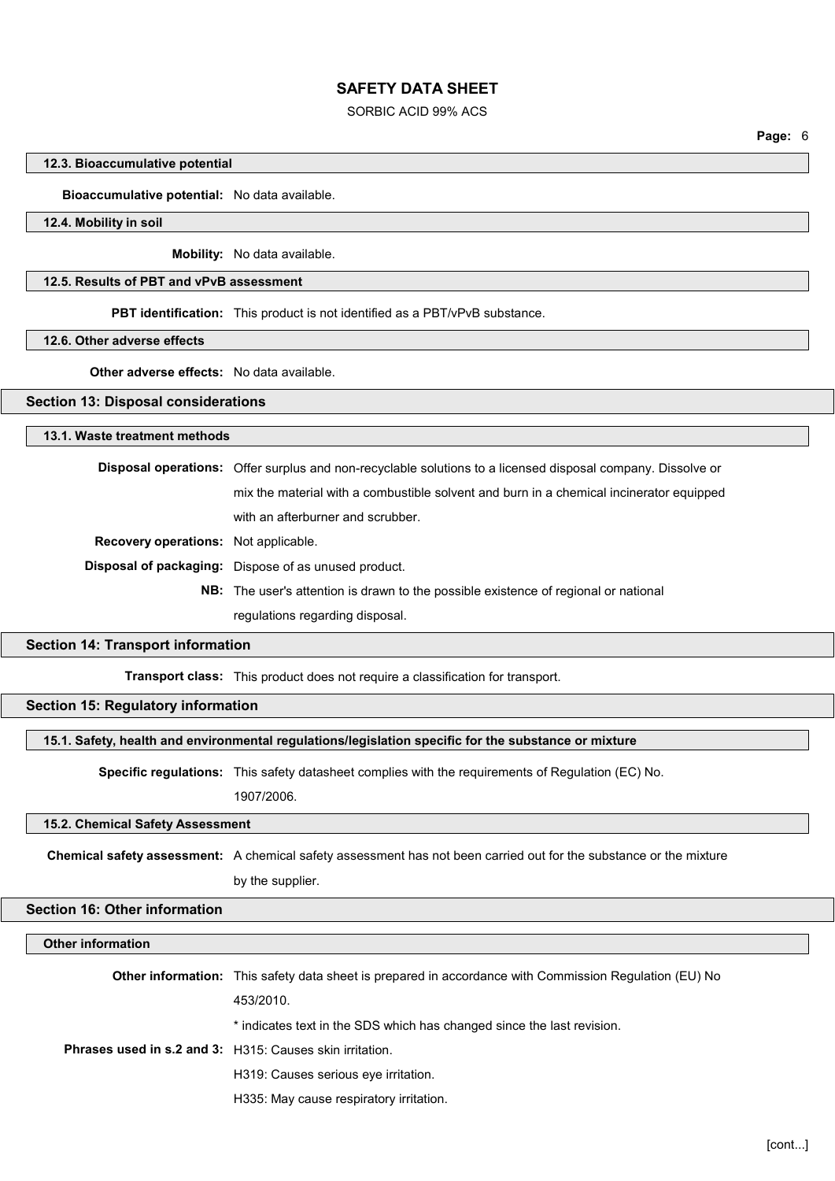### SORBIC ACID 99% ACS

Page: 6

#### 12.3. Bioaccumulative potential

Bioaccumulative potential: No data available.

### 12.4. Mobility in soil

Mobility: No data available.

### 12.5. Results of PBT and vPvB assessment

PBT identification: This product is not identified as a PBT/vPvB substance.

12.6. Other adverse effects

## Other adverse effects: No data available.

#### Section 13: Disposal considerations

#### 13.1. Waste treatment methods

Disposal operations: Offer surplus and non-recyclable solutions to a licensed disposal company. Dissolve or mix the material with a combustible solvent and burn in a chemical incinerator equipped with an afterburner and scrubber. Recovery operations: Not applicable.

Disposal of packaging: Dispose of as unused product.

NB: The user's attention is drawn to the possible existence of regional or national regulations regarding disposal.

#### Section 14: Transport information

Transport class: This product does not require a classification for transport.

### Section 15: Regulatory information

#### 15.1. Safety, health and environmental regulations/legislation specific for the substance or mixture

Specific regulations: This safety datasheet complies with the requirements of Regulation (EC) No. 1907/2006.

#### 15.2. Chemical Safety Assessment

Chemical safety assessment: A chemical safety assessment has not been carried out for the substance or the mixture

by the supplier.

#### Section 16: Other information

### Other information

|                                                                 | <b>Other information:</b> This safety data sheet is prepared in accordance with Commission Regulation (EU) No |
|-----------------------------------------------------------------|---------------------------------------------------------------------------------------------------------------|
|                                                                 | 453/2010.                                                                                                     |
| <b>Phrases used in s.2 and 3:</b> H315: Causes skin irritation. | * indicates text in the SDS which has changed since the last revision.                                        |
|                                                                 |                                                                                                               |
|                                                                 | H319: Causes serious eye irritation.                                                                          |
|                                                                 | H335: May cause respiratory irritation.                                                                       |